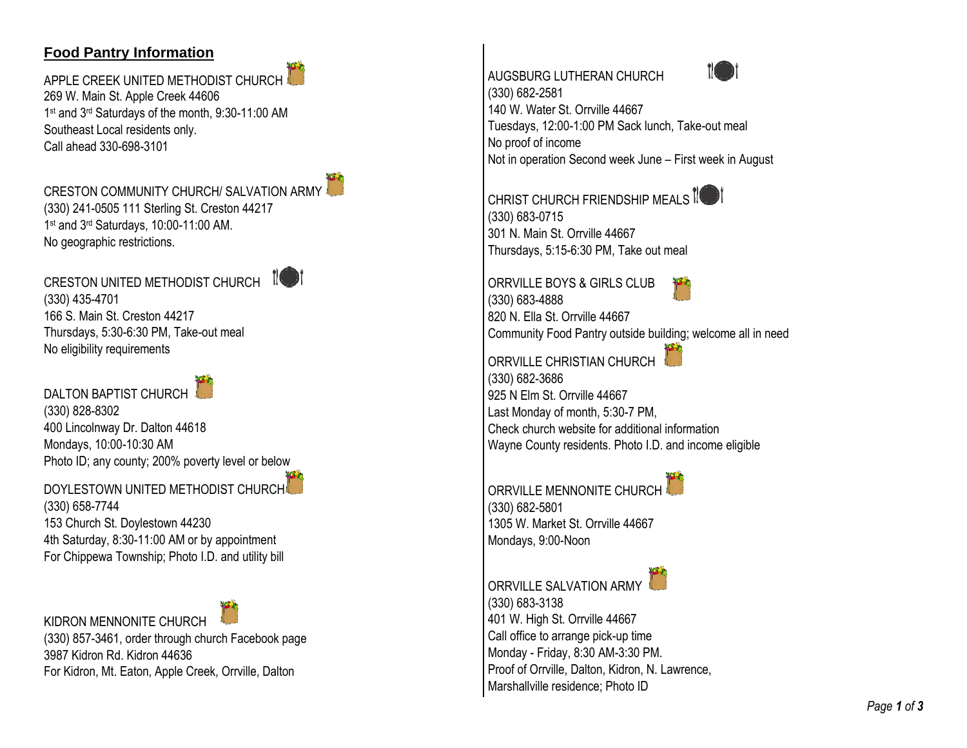## **Food Pantry Informatio n**

APPLE CREEK UNITED METHODIST CHURCH 269 W. Main St. Apple Creek 44606 1 st and 3rd Saturdays of the month, 9:30 -11:00 AM Southeast Local residents only. Call ahead 330 -698 -3101

CRESTON COMMUNITY CHURCH/ SALVATION ARMY (330) 241 -0505 111 Sterling St. Creston 44217 1 st and 3rd Saturdays, 10:00 -11:00 AM. No geographic restrictions.



## DALTON BAPTIST CHURCH

(330) 828 -8302 400 Lincolnway Dr. Dalton 44618 Mondays, 10:00 -10:30 AM Photo ID; any county; 200% poverty level or below

DOYLESTOWN UNITED METHODIST CHURCH (330) 658 -7744 153 Church St. Doylestown 44230 4th Saturday, 8:30 -11:00 AM or by appointment For Chippewa Township; Photo I.D. and utility bill

KIDRON MENNONITE CHURCH (330) 857 -3461, order through church Facebook page 3987 Kidron Rd. Kidron 44636 For Kidron, Mt. Eaton, Apple Creek, Orrville, Dalton





(330) 682 -2581 140 W. Water St. Orrville 44667 Tuesdays, 12:00 -1:00 PM Sack lunch, Take -out meal No proof of income Not in operation Second week June – First week in August

CHRIST CHURCH FRIENDSHIP MEALS IO (330) 683 -0715 301 N. Main St. Orrville 44667 Thursdays, 5:15 -6:30 PM, Take out meal

ORRVILLE BOYS & GIRLS CLUB (330) 683 -4888 820 N. Ella St. Orrville 44667 Community Food Pantry outside building; welcome all in need

ORRVILLE CHRISTIAN CHURCH (330) 682 -3686 925 N Elm St. Orrville 44667 Last Monday of month, 5:30 -7 PM, Check church website for additional information Wayne County residents. Photo I.D. and income eligible

ORRVILLE MENNONITE CHURCH (330) 682 -5801 1305 W. Market St. Orrville 44667 Mondays, 9:00-Noon

ORRVILLE SALVATION ARMY (330) 683 -3138 401 W. High St. Orrville 44667 Call office to arrange pick -up time Monday - Friday, 8:30 AM -3:30 PM. Proof of Orrville, Dalton, Kidron, N. Lawrence, Marshallville residence; Photo ID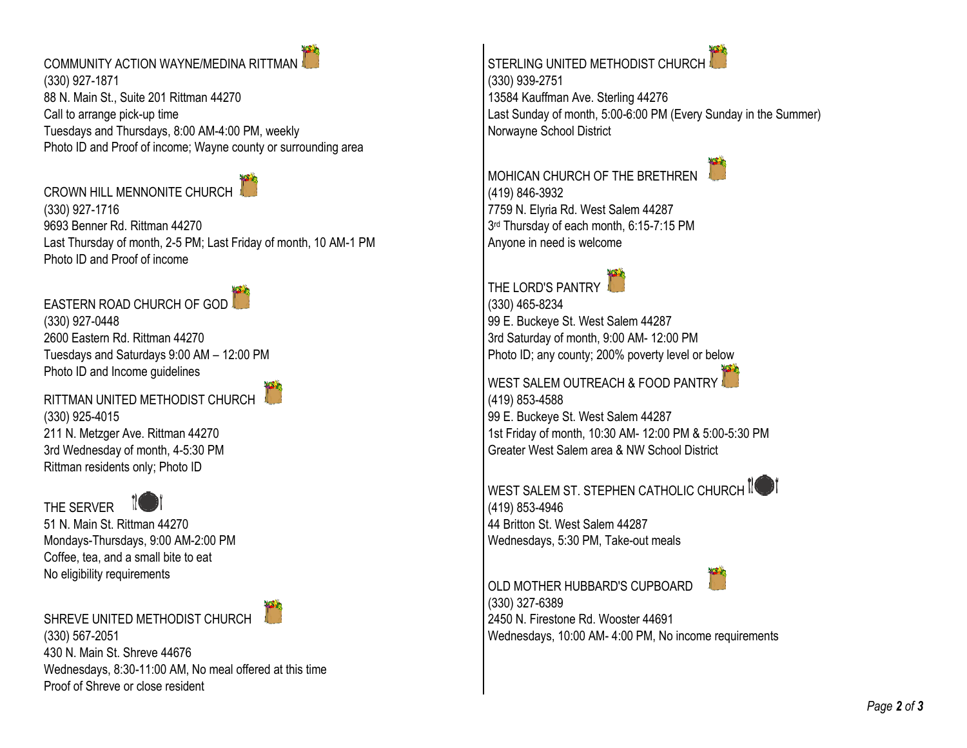COMMUNITY ACTION WAYNE/MEDINA RITTMAN (330) 927-1871 88 N. Main St., Suite 201 Rittman 44270 Call to arrange pick-up time Tuesdays and Thursdays, 8:00 AM-4:00 PM, weekly Photo ID and Proof of income; Wayne county or surrounding area

CROWN HILL MENNONITE CHURCH

(330) 927-1716 9693 Benner Rd. Rittman 44270 Last Thursday of month, 2-5 PM; Last Friday of month, 10 AM-1 PM Photo ID and Proof of income

EASTERN ROAD CHURCH OF GOD (330) 927-0448 2600 Eastern Rd. Rittman 44270 Tuesdays and Saturdays 9:00 AM – 12:00 PM Photo ID and Income guidelines

RITTMAN UNITED METHODIST CHURCH (330) 925-4015 211 N. Metzger Ave. Rittman 44270 3rd Wednesday of month, 4-5:30 PM Rittman residents only; Photo ID





51 N. Main St. Rittman 44270 Mondays-Thursdays, 9:00 AM-2:00 PM Coffee, tea, and a small bite to eat No eligibility requirements

SHREVE UNITED METHODIST CHURCH



STERLING UNITED METHODIST CHURCH (330) 939-2751 13584 Kauffman Ave. Sterling 44276 Last Sunday of month, 5:00-6:00 PM (Every Sunday in the Summer) Norwayne School District

MOHICAN CHURCH OF THE BRETHREN (419) 846-3932 7759 N. Elyria Rd. West Salem 44287 3 rd Thursday of each month, 6:15-7:15 PM Anyone in need is welcome



(330) 465-8234 99 E. Buckeye St. West Salem 44287 3rd Saturday of month, 9:00 AM- 12:00 PM Photo ID; any county; 200% poverty level or below



WEST SALEM OUTREACH & FOOD PANTRY (419) 853-4588 99 E. Buckeye St. West Salem 44287 1st Friday of month, 10:30 AM- 12:00 PM & 5:00-5:30 PM Greater West Salem area & NW School District

WEST SALEM ST. STEPHEN CATHOLIC CHURCH I (419) 853-4946 44 Britton St. West Salem 44287 Wednesdays, 5:30 PM, Take-out meals

OLD MOTHER HUBBARD'S CUPBOARD (330) 327-6389 2450 N. Firestone Rd. Wooster 44691 Wednesdays, 10:00 AM- 4:00 PM, No income requirements